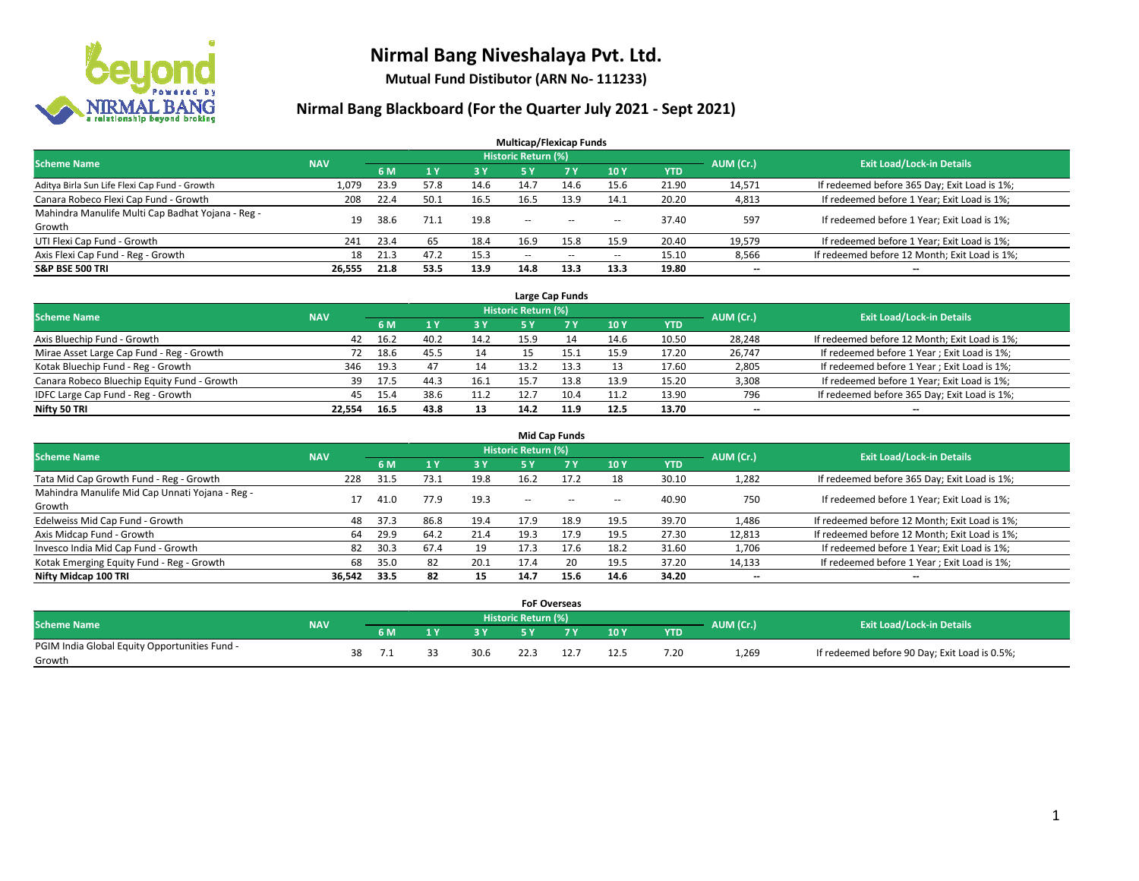

**Mutual Fund Distibutor (ARN No- 111233)**

| <b>Multicap/Flexicap Funds</b>                    |            |      |      |           |                            |                                                |            |            |           |                                               |  |  |  |
|---------------------------------------------------|------------|------|------|-----------|----------------------------|------------------------------------------------|------------|------------|-----------|-----------------------------------------------|--|--|--|
| <b>Scheme Name</b>                                | <b>NAV</b> |      |      |           | <b>Historic Return (%)</b> |                                                |            |            | AUM (Cr.) | <b>Exit Load/Lock-in Details</b>              |  |  |  |
|                                                   |            | 6 M  | 71 Y | <b>3Y</b> | 5 Y                        | <b>7Y</b>                                      | <b>10Y</b> | <b>YTD</b> |           |                                               |  |  |  |
| Aditya Birla Sun Life Flexi Cap Fund - Growth     | 1,079      | 23.9 | 57.8 | 14.6      | 14.7                       | 14.6                                           | 15.6       | 21.90      | 14,571    | If redeemed before 365 Day; Exit Load is 1%;  |  |  |  |
| Canara Robeco Flexi Cap Fund - Growth             | 208        | 22.4 | 50.1 | 16.5      | 16.5                       | 13.9                                           | 14.1       | 20.20      | 4,813     | If redeemed before 1 Year; Exit Load is 1%;   |  |  |  |
| Mahindra Manulife Multi Cap Badhat Yojana - Reg - | 19         | 38.6 | 71.1 | 19.8      | $\sim$ $\sim$              | $\hspace{0.1mm}-\hspace{0.1mm}-\hspace{0.1mm}$ |            | 37.40      | 597       | If redeemed before 1 Year; Exit Load is 1%;   |  |  |  |
| Growth                                            |            |      |      |           |                            |                                                | $- -$      |            |           |                                               |  |  |  |
| UTI Flexi Cap Fund - Growth                       | 241        | 23.4 | 65   | 18.4      | 16.9                       | 15.8                                           | 15.9       | 20.40      | 19,579    | If redeemed before 1 Year; Exit Load is 1%;   |  |  |  |
| Axis Flexi Cap Fund - Reg - Growth                | 18         | 21.3 | 47.2 | 15.3      | $\overline{\phantom{a}}$   | $\sim$                                         | $- -$      | 15.10      | 8,566     | If redeemed before 12 Month; Exit Load is 1%; |  |  |  |
| <b>S&amp;P BSE 500 TRI</b>                        | 26,555     | 21.8 | 53.5 | 13.9      | 14.8                       | 13.3                                           | 13.3       | 19.80      | --        | $\overline{\phantom{a}}$                      |  |  |  |

| Large Cap Funds                             |            |      |      |      |                            |            |      |            |           |                                               |  |  |  |
|---------------------------------------------|------------|------|------|------|----------------------------|------------|------|------------|-----------|-----------------------------------------------|--|--|--|
| <b>Scheme Name</b>                          | <b>NAV</b> |      |      |      | <b>Historic Return (%)</b> |            |      |            | AUM (Cr.) | <b>Exit Load/Lock-in Details</b>              |  |  |  |
|                                             |            | 6 M  |      | 3 Y  |                            | <b>7 Y</b> | 10Y  | <b>YTD</b> |           |                                               |  |  |  |
| Axis Bluechip Fund - Growth                 | 42         | 16.2 | 40.2 | 14.2 | 15.9                       | 14         | 14.6 | 10.50      | 28,248    | If redeemed before 12 Month; Exit Load is 1%; |  |  |  |
| Mirae Asset Large Cap Fund - Reg - Growth   | 72         | 18.6 | 45.5 | 14   |                            |            | 15.9 | 17.20      | 26,747    | If redeemed before 1 Year; Exit Load is 1%;   |  |  |  |
| Kotak Bluechip Fund - Reg - Growth          | 346        | 19.3 |      | 14   | 13.2                       |            | 13   | 17.60      | 2,805     | If redeemed before 1 Year; Exit Load is 1%;   |  |  |  |
| Canara Robeco Bluechip Equity Fund - Growth | 39         | 17.5 | 44.3 | 16.1 | 15.7                       | 13.8       | 13.9 | 15.20      | 3,308     | If redeemed before 1 Year; Exit Load is 1%;   |  |  |  |
| IDFC Large Cap Fund - Reg - Growth          | 45         | 15.4 | 38.6 | 11.2 |                            | 10.4       | 11.2 | 13.90      | 796       | If redeemed before 365 Day; Exit Load is 1%;  |  |  |  |
| Nifty 50 TRI                                | 22.554     | 16.5 | 43.8 | 13   | 14.2                       | 11.9       | 12.5 | 13.70      | $- -$     | $\overline{\phantom{a}}$                      |  |  |  |

| <b>Mid Cap Funds</b>                            |            |           |      |      |                     |           |                          |            |           |                                               |  |  |  |
|-------------------------------------------------|------------|-----------|------|------|---------------------|-----------|--------------------------|------------|-----------|-----------------------------------------------|--|--|--|
| <b>Scheme Name</b>                              | <b>NAV</b> |           |      |      | Historic Return (%) |           |                          |            | AUM (Cr.) | <b>Exit Load/Lock-in Details</b>              |  |  |  |
|                                                 |            | <b>6M</b> |      | 3 Y  | 5 Y                 | <b>7Y</b> | 10Y                      | <b>YTD</b> |           |                                               |  |  |  |
| Tata Mid Cap Growth Fund - Reg - Growth         | 228        | 31.5      | 73.1 | 19.8 | 16.2                | 17.2      | 18                       | 30.10      | 1,282     | If redeemed before 365 Day; Exit Load is 1%;  |  |  |  |
| Mahindra Manulife Mid Cap Unnati Yojana - Reg - |            | 41.0      | 77.9 | 19.3 | $-$                 | $-$       | $\overline{\phantom{a}}$ | 40.90      | 750       | If redeemed before 1 Year; Exit Load is 1%;   |  |  |  |
| Growth                                          |            |           |      |      |                     |           |                          |            |           |                                               |  |  |  |
| Edelweiss Mid Cap Fund - Growth                 | 48         | 37.3      | 86.8 | 19.4 | 17.9                | 18.9      | 19.5                     | 39.70      | 1,486     | If redeemed before 12 Month; Exit Load is 1%; |  |  |  |
| Axis Midcap Fund - Growth                       | 64         | 29.9      | 64.2 | 21.4 | 19.3                | 17.9      | 19.5                     | 27.30      | 12,813    | If redeemed before 12 Month; Exit Load is 1%; |  |  |  |
| Invesco India Mid Cap Fund - Growth             | 82         | 30.3      | 67.4 | 19   | 17.3                | 17.6      | 18.2                     | 31.60      | 1,706     | If redeemed before 1 Year; Exit Load is 1%;   |  |  |  |
| Kotak Emerging Equity Fund - Reg - Growth       | 68         | 35.0      | 82   | 20.1 | 17.4                | 20        | 19.5                     | 37.20      | 14,133    | If redeemed before 1 Year; Exit Load is 1%;   |  |  |  |
| Nifty Midcap 100 TRI                            | 36,542     | 33.5      | 82   | 15   | 14.7                | 15.6      | 14.6                     | 34.20      | $- -$     | $\overline{\phantom{a}}$                      |  |  |  |

|                                               |            |    |     |     |           |                     | <b>FoF Overseas</b> |      |            |           |                                               |
|-----------------------------------------------|------------|----|-----|-----|-----------|---------------------|---------------------|------|------------|-----------|-----------------------------------------------|
| Scheme Name                                   | <b>NAV</b> |    |     |     |           | Historic Return (%) |                     |      |            | AUM (Cr.) | <b>Exit Load/Lock-in Details</b>              |
|                                               |            |    | 6 M | 1 V | <b>2V</b> |                     | 'י ד                | 10Y  | <b>YTD</b> |           |                                               |
| PGIM India Global Equity Opportunities Fund - |            | 38 |     |     | 30.6      |                     |                     | 12.5 | 7.20       | 1,269     | If redeemed before 90 Day; Exit Load is 0.5%; |
| Growth                                        |            |    |     |     |           |                     |                     |      |            |           |                                               |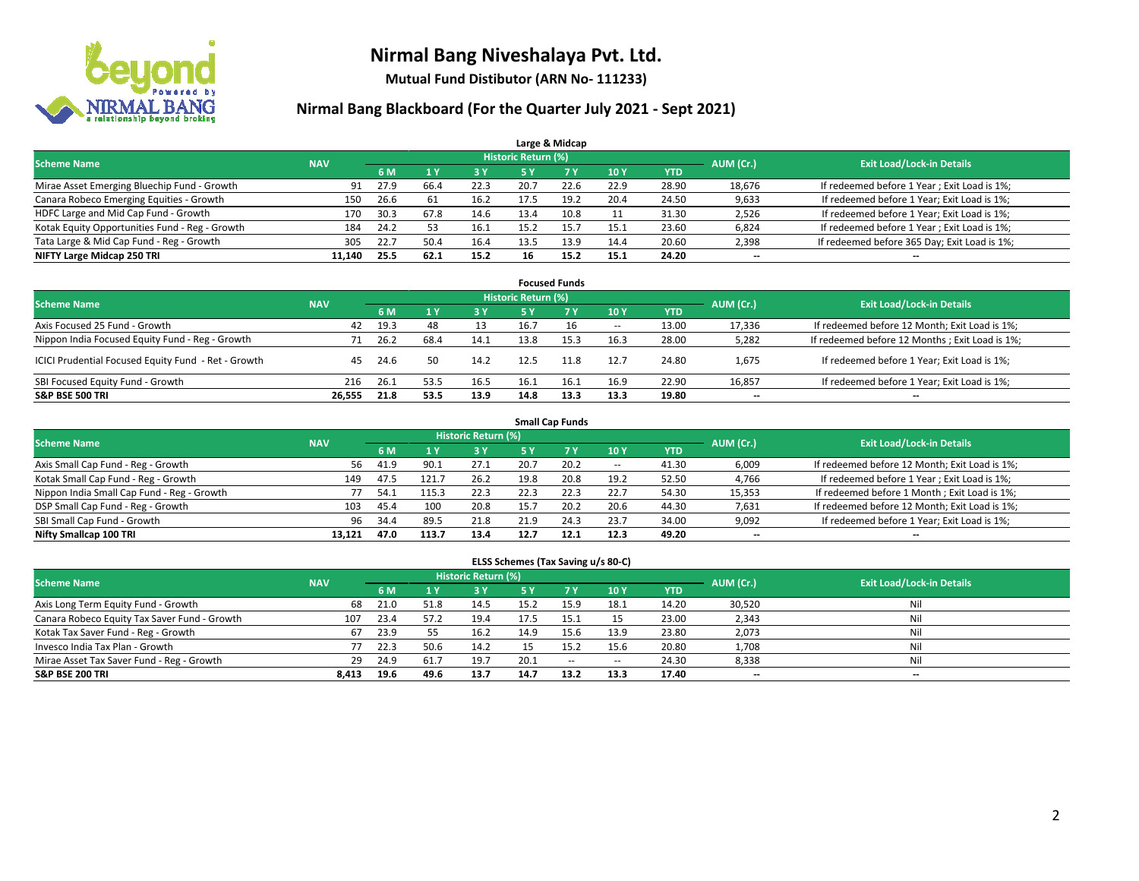

**Mutual Fund Distibutor (ARN No- 111233)**

### **Nirmal Bang Blackboard (For the Quarter July 2021 - Sept 2021)**

| Large & Midcap                                 |            |      |      |      |                            |           |      |            |           |                                              |  |  |  |  |
|------------------------------------------------|------------|------|------|------|----------------------------|-----------|------|------------|-----------|----------------------------------------------|--|--|--|--|
| <b>Scheme Name</b>                             | <b>NAV</b> |      |      |      | <b>Historic Return (%)</b> |           |      |            | AUM (Cr.) | <b>Exit Load/Lock-in Details</b>             |  |  |  |  |
|                                                |            | 6 M  |      | 3 Y  | <b>5 Y</b>                 | <b>7Y</b> | 10Y  | <b>YTD</b> |           |                                              |  |  |  |  |
| Mirae Asset Emerging Bluechip Fund - Growth    | 91         | 27.9 | 66.4 | 22.3 | 20.7                       | 22.6      | 22.9 | 28.90      | 18,676    | If redeemed before 1 Year; Exit Load is 1%;  |  |  |  |  |
| Canara Robeco Emerging Equities - Growth       | 150        | 26.6 | 61   | 16.2 | 17.5                       | 19.2      | 20.4 | 24.50      | 9,633     | If redeemed before 1 Year; Exit Load is 1%;  |  |  |  |  |
| HDFC Large and Mid Cap Fund - Growth           | 170        | 30.3 | 67.8 | 14.6 | 13.4                       | 10.8      |      | 31.30      | 2,526     | If redeemed before 1 Year; Exit Load is 1%;  |  |  |  |  |
| Kotak Equity Opportunities Fund - Reg - Growth | 184        | 24.2 | 53   | 16.1 | 15.2                       | 15.7      | 15.1 | 23.60      | 6,824     | If redeemed before 1 Year; Exit Load is 1%;  |  |  |  |  |
| Tata Large & Mid Cap Fund - Reg - Growth       | 305        | 22.7 | 50.4 | 16.4 | 13.5                       | 13.9      | 14.4 | 20.60      | 2,398     | If redeemed before 365 Day; Exit Load is 1%; |  |  |  |  |
| NIFTY Large Midcap 250 TRI                     | 11.140     | 25.5 | 62.1 | 15.2 | 16                         | 15.2      | 15.1 | 24.20      | $- -$     | $\overline{\phantom{a}}$                     |  |  |  |  |

| <b>Focused Funds</b>                                |            |      |      |            |                     |           |                          |            |                          |                                                |  |  |  |
|-----------------------------------------------------|------------|------|------|------------|---------------------|-----------|--------------------------|------------|--------------------------|------------------------------------------------|--|--|--|
| <b>Scheme Name</b>                                  | <b>NAV</b> |      |      |            | Historic Return (%) |           |                          |            | AUM (Cr.)                | <b>Exit Load/Lock-in Details</b>               |  |  |  |
|                                                     |            | 6 M  |      | <b>3 Y</b> | 5 Y                 | <b>7Y</b> | 10Y                      | <b>YTD</b> |                          |                                                |  |  |  |
| Axis Focused 25 Fund - Growth                       | 42         | 19.3 | 48   | 13         | 16.7                |           | $\overline{\phantom{a}}$ | 13.00      | 17,336                   | If redeemed before 12 Month; Exit Load is 1%;  |  |  |  |
| Nippon India Focused Equity Fund - Reg - Growth     |            | 26.2 | 68.4 | 14.1       | 13.8                | 15.3      | 16.3                     | 28.00      | 5,282                    | If redeemed before 12 Months; Exit Load is 1%; |  |  |  |
| ICICI Prudential Focused Equity Fund - Ret - Growth | 45         | 24.6 | 50   | 14.2       | 12.5                | 11.8      | 12.7                     | 24.80      | 1,675                    | If redeemed before 1 Year; Exit Load is 1%;    |  |  |  |
| SBI Focused Equity Fund - Growth                    | 216        | 26.1 | 53.5 | 16.5       | 16.1                | 16.1      | 16.9                     | 22.90      | 16,857                   | If redeemed before 1 Year; Exit Load is 1%;    |  |  |  |
| <b>S&amp;P BSE 500 TRI</b>                          | 26.555     | 21.8 | 53.5 | 13.9       | 14.8                | 13.3      | 13.3                     | 19.80      | $\overline{\phantom{a}}$ | --                                             |  |  |  |

| <b>Small Cap Funds</b>                     |            |      |       |                     |      |           |                          |            |                          |                                               |  |  |  |
|--------------------------------------------|------------|------|-------|---------------------|------|-----------|--------------------------|------------|--------------------------|-----------------------------------------------|--|--|--|
| <b>Scheme Name</b>                         | <b>NAV</b> |      |       | Historic Return (%) |      |           |                          |            | AUM (Cr.)                | <b>Exit Load/Lock-in Details</b>              |  |  |  |
|                                            |            | 6 M  |       | 73 Y.               | 5 Y  | <b>7Y</b> | <b>10Y</b>               | <b>YTD</b> |                          |                                               |  |  |  |
| Axis Small Cap Fund - Reg - Growth         | 56         | 41.9 | 90.1  | 27.1                | 20.7 | 20.2      | $\overline{\phantom{a}}$ | 41.30      | 6,009                    | If redeemed before 12 Month; Exit Load is 1%; |  |  |  |
| Kotak Small Cap Fund - Reg - Growth        | 149        | 47.5 | 121.7 | 26.2                | 19.8 | 20.8      | 19.2                     | 52.50      | 4,766                    | If redeemed before 1 Year; Exit Load is 1%;   |  |  |  |
| Nippon India Small Cap Fund - Reg - Growth |            | 54.1 | 115.3 | 22.3                | 22.3 | 22.3      | 22.7                     | 54.30      | 15,353                   | If redeemed before 1 Month; Exit Load is 1%;  |  |  |  |
| DSP Small Cap Fund - Reg - Growth          | 103        | 45.4 | 100   | 20.8                | 15.7 | 20.2      | 20.6                     | 44.30      | 7,631                    | If redeemed before 12 Month; Exit Load is 1%; |  |  |  |
| SBI Small Cap Fund - Growth                | 96         | 34.4 | 89.5  | 21.8                | 21.9 | 24.3      | 23.7                     | 34.00      | 9,092                    | If redeemed before 1 Year; Exit Load is 1%;   |  |  |  |
| Nifty Smallcap 100 TRI                     | 13.121     | 47.0 | 113.7 | 13.4                | 12.7 | 12.1      | 12.3                     | 49.20      | $\overline{\phantom{m}}$ | $- -$                                         |  |  |  |

#### **ELSS Schemes (Tax Saving u/s 80-C)**

| <b>Scheme Name</b>                           | <b>NAV</b> |      |      | Historic Return (%) |           |           |            |            | AUM (Cr.) | <b>Exit Load/Lock-in Details</b> |
|----------------------------------------------|------------|------|------|---------------------|-----------|-----------|------------|------------|-----------|----------------------------------|
|                                              |            | 6 M  |      | <b>3Y</b>           | <b>5Y</b> | <b>7Y</b> | <b>10Y</b> | <b>YTD</b> |           |                                  |
| Axis Long Term Equity Fund - Growth          | 68         | 21.0 | 51.8 | 14.5                | 15.2      | 15.9      | 18.1       | 14.20      | 30,520    | Nil                              |
| Canara Robeco Equity Tax Saver Fund - Growth | 107        | 23.4 | 57.2 | 19.4                | 17.5      | 15.1      | 15         | 23.00      | 2,343     | Nil                              |
| Kotak Tax Saver Fund - Reg - Growth          | 67         | 23.9 |      | 16.2                | 14.9      | 15.6      | 13.9       | 23.80      | 2,073     | Nil                              |
| Invesco India Tax Plan - Growth              | 77         | 22.3 | 50.6 | 14.2                |           | 15.2      | 15.6       | 20.80      | 1,708     | Nil                              |
| Mirae Asset Tax Saver Fund - Reg - Growth    | 29         | 24.9 | 61.7 | 19.7                | 20.1      | $-$       | $\!-$      | 24.30      | 8,338     | Nil                              |
| <b>S&amp;P BSE 200 TRI</b>                   | 8,413      | 19.6 | 49.6 | 13.7                | 14.7      | 13.2      | 13.3       | 17.40      | --        | $\overline{\phantom{a}}$         |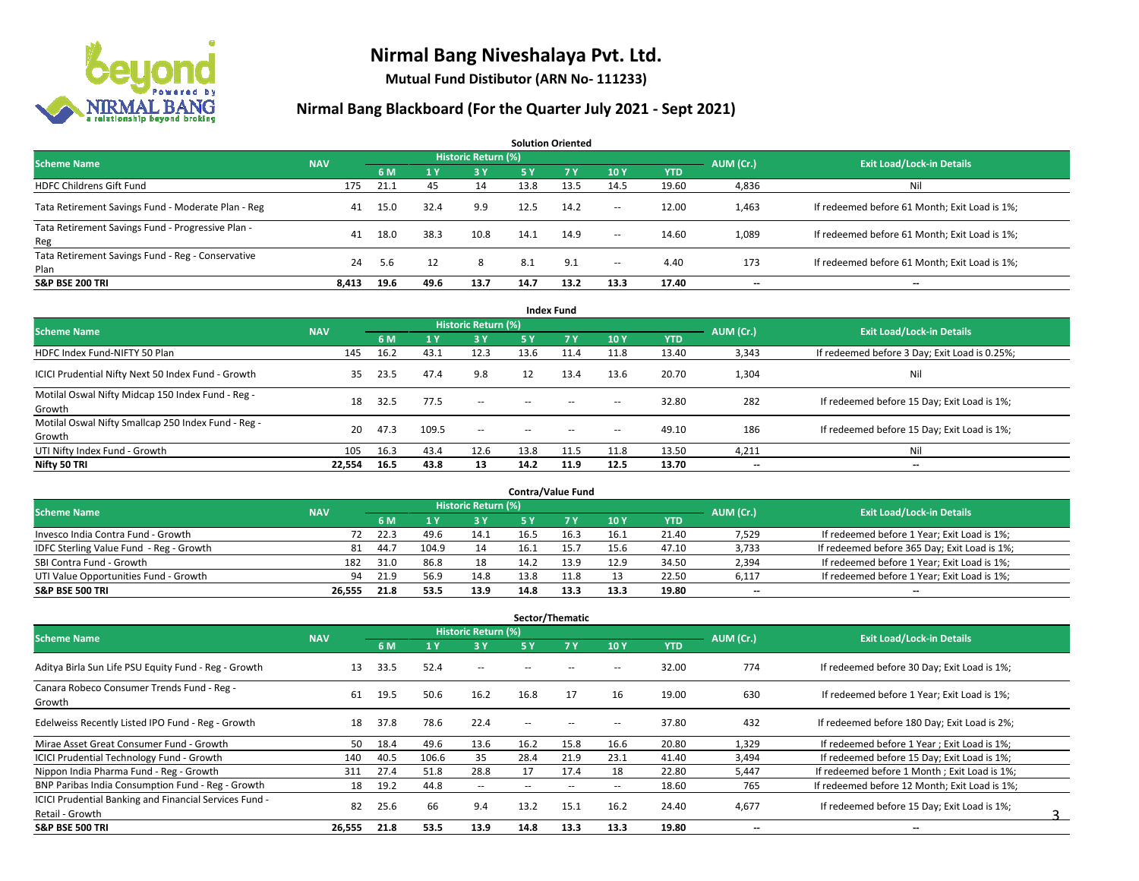

**Mutual Fund Distibutor (ARN No- 111233)**

| <b>Solution Oriented</b>                                  |            |      |      |                     |      |      |        |            |                          |                                               |  |  |  |
|-----------------------------------------------------------|------------|------|------|---------------------|------|------|--------|------------|--------------------------|-----------------------------------------------|--|--|--|
| <b>Scheme Name</b>                                        | <b>NAV</b> |      |      | Historic Return (%) |      |      |        |            | AUM (Cr.)                | <b>Exit Load/Lock-in Details</b>              |  |  |  |
|                                                           |            | 6 M  | 1 Y  | $-3V$               | 5 Y  | 7v   | 10Y    | <b>YTD</b> |                          |                                               |  |  |  |
| <b>HDFC Childrens Gift Fund</b>                           | 175        | 21.1 | 45   | 14                  | 13.8 | 13.5 | 14.5   | 19.60      | 4,836                    | Ni                                            |  |  |  |
| Tata Retirement Savings Fund - Moderate Plan - Reg        | 41         | 15.0 | 32.4 | 9.9                 | 12.5 | 14.2 | $\sim$ | 12.00      | 1,463                    | If redeemed before 61 Month; Exit Load is 1%; |  |  |  |
| Tata Retirement Savings Fund - Progressive Plan -<br>Reg  | 41         | 18.0 | 38.3 | 10.8                | 14.1 | 14.9 | $\sim$ | 14.60      | 1,089                    | If redeemed before 61 Month; Exit Load is 1%; |  |  |  |
| Tata Retirement Savings Fund - Reg - Conservative<br>Plan | 24         | 5.6  | 12   | 8                   | 8.1  | 9.1  | $\sim$ | 4.40       | 173                      | If redeemed before 61 Month; Exit Load is 1%; |  |  |  |
| <b>S&amp;P BSE 200 TRI</b>                                | 8.413      | 19.6 | 49.6 | 13.7                | 14.7 | 13.2 | 13.3   | 17.40      | $\overline{\phantom{a}}$ | $- -$                                         |  |  |  |

| <b>Index Fund</b>                                             |            |      |       |                            |        |        |                          |            |           |                                               |  |  |  |  |
|---------------------------------------------------------------|------------|------|-------|----------------------------|--------|--------|--------------------------|------------|-----------|-----------------------------------------------|--|--|--|--|
| <b>Scheme Name</b>                                            | <b>NAV</b> |      |       | <b>Historic Return (%)</b> |        |        |                          |            | AUM (Cr.) | <b>Exit Load/Lock-in Details</b>              |  |  |  |  |
|                                                               |            | 6 M  | 71 V  | <b>3Y</b>                  | 5 Y    | 7V     | 10Y                      | <b>YTD</b> |           |                                               |  |  |  |  |
| HDFC Index Fund-NIFTY 50 Plan                                 | 145        | 16.2 | 43.1  | 12.3                       | 13.6   | 11.4   | 11.8                     | 13.40      | 3,343     | If redeemed before 3 Day; Exit Load is 0.25%; |  |  |  |  |
| ICICI Prudential Nifty Next 50 Index Fund - Growth            | 35         | 23.5 | 47.4  | 9.8                        | 12     | 13.4   | 13.6                     | 20.70      | 1,304     | Nil                                           |  |  |  |  |
| Motilal Oswal Nifty Midcap 150 Index Fund - Reg -<br>Growth   | 18         | 32.5 | 77.5  | $\sim$                     | $\sim$ | $-$    | $\overline{\phantom{a}}$ | 32.80      | 282       | If redeemed before 15 Day; Exit Load is 1%;   |  |  |  |  |
| Motilal Oswal Nifty Smallcap 250 Index Fund - Reg -<br>Growth | 20         | 47.3 | 109.5 | $\sim$                     | $\sim$ | $\sim$ | $\hspace{0.05cm} \cdots$ | 49.10      | 186       | If redeemed before 15 Day; Exit Load is 1%;   |  |  |  |  |
| UTI Nifty Index Fund - Growth                                 | 105        | 16.3 | 43.4  | 12.6                       | 13.8   | 11.5   | 11.8                     | 13.50      | 4,211     | Nil                                           |  |  |  |  |
| Nifty 50 TRI                                                  | 22,554     | 16.5 | 43.8  | 13                         | 14.2   | 11.9   | 12.5                     | 13.70      | $- -$     | $\overline{\phantom{a}}$                      |  |  |  |  |

| <b>Contra/Value Fund</b>                |            |      |       |                     |      |      |      |       |           |                                              |  |  |  |
|-----------------------------------------|------------|------|-------|---------------------|------|------|------|-------|-----------|----------------------------------------------|--|--|--|
| <b>Scheme Name</b>                      | <b>NAV</b> |      |       | Historic Return (%) |      |      |      |       | AUM (Cr.) | <b>Exit Load/Lock-in Details</b>             |  |  |  |
|                                         |            | 6 M  |       | 3 Y                 |      |      | 10Y  | YTD   |           |                                              |  |  |  |
| Invesco India Contra Fund - Growth      | 72         | 22.3 | 49.6  | 14.1                | 16.5 | 16.3 | 16.1 | 21.40 | 7,529     | If redeemed before 1 Year; Exit Load is 1%;  |  |  |  |
| IDFC Sterling Value Fund - Reg - Growth | 81         | 44.7 | 104.9 | 14                  | 16.1 |      | 15.6 | 47.10 | 3,733     | If redeemed before 365 Day; Exit Load is 1%; |  |  |  |
| SBI Contra Fund - Growth                | 182        | 31.0 | 86.8  | 18                  | 14.2 | 13.9 | 12.9 | 34.50 | 2,394     | If redeemed before 1 Year; Exit Load is 1%;  |  |  |  |
| UTI Value Opportunities Fund - Growth   | 94         | 21.9 | 56.9  | 14.8                | 13.8 | 11.8 | 13   | 22.50 | 6,117     | If redeemed before 1 Year; Exit Load is 1%;  |  |  |  |
| <b>S&amp;P BSE 500 TRI</b>              | 26.555     | 21.8 | 53.5  | 13.9                | 14.8 | 13.3 | 13.3 | 19.80 | $- -$     | $- -$                                        |  |  |  |

| Sector/Thematic                                                           |            |      |       |                            |                          |                          |                          |            |                          |                                               |  |  |  |
|---------------------------------------------------------------------------|------------|------|-------|----------------------------|--------------------------|--------------------------|--------------------------|------------|--------------------------|-----------------------------------------------|--|--|--|
| <b>Scheme Name</b>                                                        | <b>NAV</b> |      |       | <b>Historic Return (%)</b> |                          |                          |                          |            | AUM (Cr.)                | <b>Exit Load/Lock-in Details</b>              |  |  |  |
|                                                                           |            | 6 M  | 1 Y   | 3 Y                        | 5 Y                      | 7 Y                      | 10Y                      | <b>YTD</b> |                          |                                               |  |  |  |
| Aditya Birla Sun Life PSU Equity Fund - Reg - Growth                      | 13         | 33.5 | 52.4  | $\overline{\phantom{a}}$   | --                       |                          | --                       | 32.00      | 774                      | If redeemed before 30 Day; Exit Load is 1%;   |  |  |  |
| Canara Robeco Consumer Trends Fund - Reg -<br>Growth                      | 61         | 19.5 | 50.6  | 16.2                       | 16.8                     | 17                       | 16                       | 19.00      | 630                      | If redeemed before 1 Year; Exit Load is 1%;   |  |  |  |
| Edelweiss Recently Listed IPO Fund - Reg - Growth                         | 18         | 37.8 | 78.6  | 22.4                       | $\overline{\phantom{a}}$ | --                       | $\overline{\phantom{a}}$ | 37.80      | 432                      | If redeemed before 180 Day; Exit Load is 2%;  |  |  |  |
| Mirae Asset Great Consumer Fund - Growth                                  | 50         | 18.4 | 49.6  | 13.6                       | 16.2                     | 15.8                     | 16.6                     | 20.80      | 1,329                    | If redeemed before 1 Year; Exit Load is 1%;   |  |  |  |
| <b>ICICI Prudential Technology Fund - Growth</b>                          | 140        | 40.5 | 106.6 | 35                         | 28.4                     | 21.9                     | 23.1                     | 41.40      | 3,494                    | If redeemed before 15 Day; Exit Load is 1%;   |  |  |  |
| Nippon India Pharma Fund - Reg - Growth                                   | 311        | 27.4 | 51.8  | 28.8                       | 17                       | 17.4                     | 18                       | 22.80      | 5,447                    | If redeemed before 1 Month; Exit Load is 1%;  |  |  |  |
| BNP Paribas India Consumption Fund - Reg - Growth                         | 18         | 19.2 | 44.8  | $\sim$                     | $\overline{\phantom{a}}$ | $\overline{\phantom{a}}$ | $\hspace{0.05cm} \cdots$ | 18.60      | 765                      | If redeemed before 12 Month; Exit Load is 1%; |  |  |  |
| ICICI Prudential Banking and Financial Services Fund -<br>Retail - Growth | 82         | 25.6 | 66    | 9.4                        | 13.2                     | 15.1                     | 16.2                     | 24.40      | 4,677                    | If redeemed before 15 Day; Exit Load is 1%;   |  |  |  |
| <b>S&amp;P BSE 500 TRI</b>                                                | 26,555     | 21.8 | 53.5  | 13.9                       | 14.8                     | 13.3                     | 13.3                     | 19.80      | $\overline{\phantom{a}}$ | $\overline{\phantom{a}}$                      |  |  |  |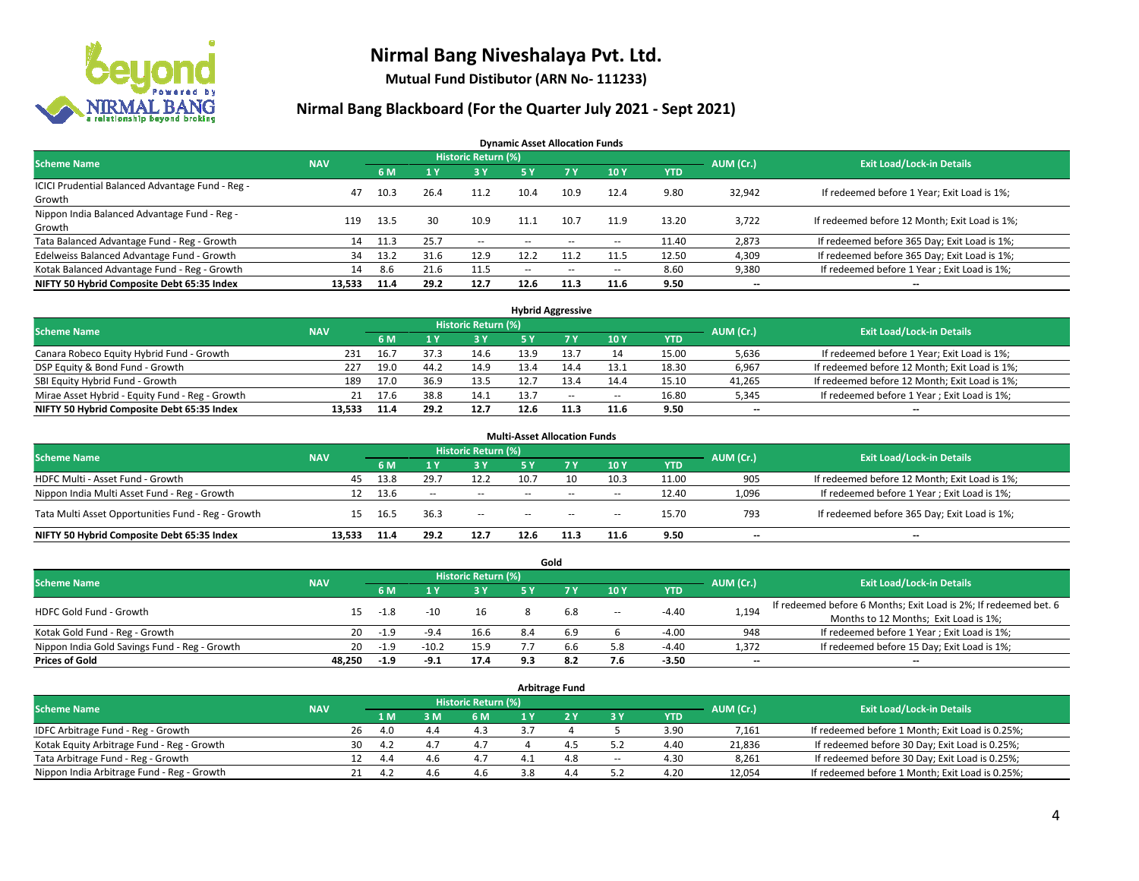

**Mutual Fund Distibutor (ARN No- 111233)**

#### **Nirmal Bang Blackboard (For the Quarter July 2021 - Sept 2021)**

**Dynamic Asset Allocation Funds**

| <b>Scheme Name</b>                                         | <b>NAV</b> |      |      | <b>Historic Return (%)</b> |        |            |                          |            | AUM (Cr.)                | <b>Exit Load/Lock-in Details</b>              |
|------------------------------------------------------------|------------|------|------|----------------------------|--------|------------|--------------------------|------------|--------------------------|-----------------------------------------------|
|                                                            |            | 6 M  |      | <b>3Y</b>                  | 5 Y    | <b>7 Y</b> | 10Y                      | <b>YTD</b> |                          |                                               |
| ICICI Prudential Balanced Advantage Fund - Reg -<br>Growth | 47         | 10.3 | 26.4 | 11.2                       | 10.4   | 10.9       | 12.4                     | 9.80       | 32,942                   | If redeemed before 1 Year; Exit Load is 1%;   |
| Nippon India Balanced Advantage Fund - Reg -<br>Growth     | 119        | 13.5 | 30   | 10.9                       | 11.1   | 10.7       | 11.9                     | 13.20      | 3,722                    | If redeemed before 12 Month; Exit Load is 1%; |
| Tata Balanced Advantage Fund - Reg - Growth                | 14         | 11.3 | 25.7 | $\sim$                     | $\sim$ | $- -$      | $\overline{\phantom{a}}$ | 11.40      | 2,873                    | If redeemed before 365 Day; Exit Load is 1%;  |
| Edelweiss Balanced Advantage Fund - Growth                 | 34         | 13.2 | 31.6 | 12.9                       | 12.2   | 11.2       | 11.5                     | 12.50      | 4,309                    | If redeemed before 365 Day; Exit Load is 1%;  |
| Kotak Balanced Advantage Fund - Reg - Growth               | 14         | 8.6  | 21.6 | 11.5                       | $-$    | $\sim$     | $\overline{\phantom{a}}$ | 8.60       | 9,380                    | If redeemed before 1 Year; Exit Load is 1%;   |
| NIFTY 50 Hybrid Composite Debt 65:35 Index                 | 13.533     | 11.4 | 29.2 | 12.7                       | 12.6   | 11.3       | 11.6                     | 9.50       | $\overline{\phantom{a}}$ | --                                            |

| <b>Hybrid Aggressive</b>                        |            |            |      |                            |      |        |        |            |           |                                               |  |  |  |
|-------------------------------------------------|------------|------------|------|----------------------------|------|--------|--------|------------|-----------|-----------------------------------------------|--|--|--|
| <b>Scheme Name</b>                              | <b>NAV</b> |            |      | <b>Historic Return (%)</b> |      |        |        |            | AUM (Cr.) | <b>Exit Load/Lock-in Details</b>              |  |  |  |
|                                                 |            | 6 M        |      | 3 Y                        |      |        | 10Y    | <b>YTD</b> |           |                                               |  |  |  |
| Canara Robeco Equity Hybrid Fund - Growth       | 231        | 16.7       | 37.3 | 14.6                       | 13.9 |        | 14     | 15.00      | 5,636     | If redeemed before 1 Year; Exit Load is 1%;   |  |  |  |
| DSP Equity & Bond Fund - Growth                 | 227        | 19.0       | 44.2 | 14.9                       |      |        | 13.1   | 18.30      | 6,967     | If redeemed before 12 Month; Exit Load is 1%; |  |  |  |
| SBI Equity Hybrid Fund - Growth                 | 189        | 17.0       | 36.9 | 13.5                       |      |        | 14.4   | 15.10      | 41,265    | If redeemed before 12 Month; Exit Load is 1%; |  |  |  |
| Mirae Asset Hybrid - Equity Fund - Reg - Growth |            | 17.6<br>21 | 38.8 | 14.1                       | 13.7 | $\sim$ | $\sim$ | 16.80      | 5,345     | If redeemed before 1 Year; Exit Load is 1%;   |  |  |  |
| NIFTY 50 Hybrid Composite Debt 65:35 Index      | 13.533     | 11.4       | 29.2 | 12.7                       | 12.6 |        | 11.6   | 9.50       | $- -$     | $-$                                           |  |  |  |

|                                                    |            |      |              |                            | <b>Multi-Asset Allocation Funds</b> |           |                          |            |                          |                                               |
|----------------------------------------------------|------------|------|--------------|----------------------------|-------------------------------------|-----------|--------------------------|------------|--------------------------|-----------------------------------------------|
| <b>Scheme Name</b>                                 | <b>NAV</b> |      |              | <b>Historic Return (%)</b> |                                     |           |                          |            | AUM (Cr.)                | <b>Exit Load/Lock-in Details</b>              |
|                                                    |            | 6 M  |              | 3V                         | 5 Y                                 | <b>7V</b> | 10Y                      | <b>YTD</b> |                          |                                               |
| HDFC Multi - Asset Fund - Growth                   | 45         | 13.8 | 29.7         | 12.2                       | 10.7                                |           | 10.3                     | 11.00      | 905                      | If redeemed before 12 Month; Exit Load is 1%; |
| Nippon India Multi Asset Fund - Reg - Growth       | 12         | 13.6 | <b>COLUM</b> | $\sim$                     | $-$                                 | $\sim$    | $\overline{\phantom{a}}$ | 12.40      | 1,096                    | If redeemed before 1 Year; Exit Load is 1%;   |
| Tata Multi Asset Opportunities Fund - Reg - Growth | 15         | 16.5 | 36.3         | $\sim$                     | $-$                                 | $\sim$    | --                       | 15.70      | 793                      | If redeemed before 365 Day; Exit Load is 1%;  |
| NIFTY 50 Hybrid Composite Debt 65:35 Index         | 13.533     | 11.4 | 29.2         | 12.7                       | 12.6                                |           | 11.6                     | 9.50       | $\overline{\phantom{a}}$ | --                                            |

| Gold                                          |            |                                  |         |            |     |     |        |            |       |                                                                  |  |  |  |  |
|-----------------------------------------------|------------|----------------------------------|---------|------------|-----|-----|--------|------------|-------|------------------------------------------------------------------|--|--|--|--|
| <b>Scheme Name</b>                            | AUM (Cr.)  | <b>Exit Load/Lock-in Details</b> |         |            |     |     |        |            |       |                                                                  |  |  |  |  |
|                                               | <b>NAV</b> | 6 M                              |         | <b>3 Y</b> | 5 Y |     | 10Y    | <b>YTD</b> |       |                                                                  |  |  |  |  |
| HDFC Gold Fund - Growth                       |            |                                  |         | 16         |     | 6.8 |        | $-4.40$    |       | If redeemed before 6 Months; Exit Load is 2%; If redeemed bet. 6 |  |  |  |  |
|                                               | 15         | -1.8                             |         |            |     |     | $\sim$ |            | 1,194 | Months to 12 Months; Exit Load is 1%;                            |  |  |  |  |
| Kotak Gold Fund - Reg - Growth                | 20         | -1.9                             | $-9.4$  | 16.6       |     |     |        | $-4.00$    | 948   | If redeemed before 1 Year; Exit Load is 1%;                      |  |  |  |  |
| Nippon India Gold Savings Fund - Reg - Growth | 20         | $-1.9$                           | $-10.2$ | 15.9       |     | b.b | 5.8    | -4.40      | 1,372 | If redeemed before 15 Day; Exit Load is 1%;                      |  |  |  |  |
| <b>Prices of Gold</b>                         | 48.250     | $-1.9$                           | $-9.1$  | 17.4       | 9.3 |     | 7.6    | $-3.50$    | $- -$ | $\overline{\phantom{a}}$                                         |  |  |  |  |

| <b>Arbitrage Fund</b>                      |            |    |     |     |                            |  |     |        |            |           |                                                 |  |  |
|--------------------------------------------|------------|----|-----|-----|----------------------------|--|-----|--------|------------|-----------|-------------------------------------------------|--|--|
| <b>Scheme Name</b>                         | <b>NAV</b> |    |     |     | <b>Historic Return (%)</b> |  |     |        |            | AUM (Cr.) | <b>Exit Load/Lock-in Details</b>                |  |  |
|                                            |            |    | 1 M | 3 M | 6 M                        |  |     | 3 Y    | <b>YTD</b> |           |                                                 |  |  |
| IDFC Arbitrage Fund - Reg - Growth         |            | 26 | 4.0 | 4.4 | 4.3                        |  |     |        | 3.90       | 7,161     | If redeemed before 1 Month; Exit Load is 0.25%; |  |  |
| Kotak Equity Arbitrage Fund - Reg - Growth |            | 30 | 4.2 | 4.1 | 4.7                        |  | -4. |        | 4.40       | 21,836    | If redeemed before 30 Day; Exit Load is 0.25%;  |  |  |
| Tata Arbitrage Fund - Reg - Growth         |            | 12 | 4.4 | 4.6 | 4.7                        |  | 4.8 | $\sim$ | 4.30       | 8,261     | If redeemed before 30 Day; Exit Load is 0.25%;  |  |  |
| Nippon India Arbitrage Fund - Reg - Growth |            | 21 |     | 4.6 | 4.6                        |  | 4.4 |        | 4.20       | 12,054    | If redeemed before 1 Month; Exit Load is 0.25%; |  |  |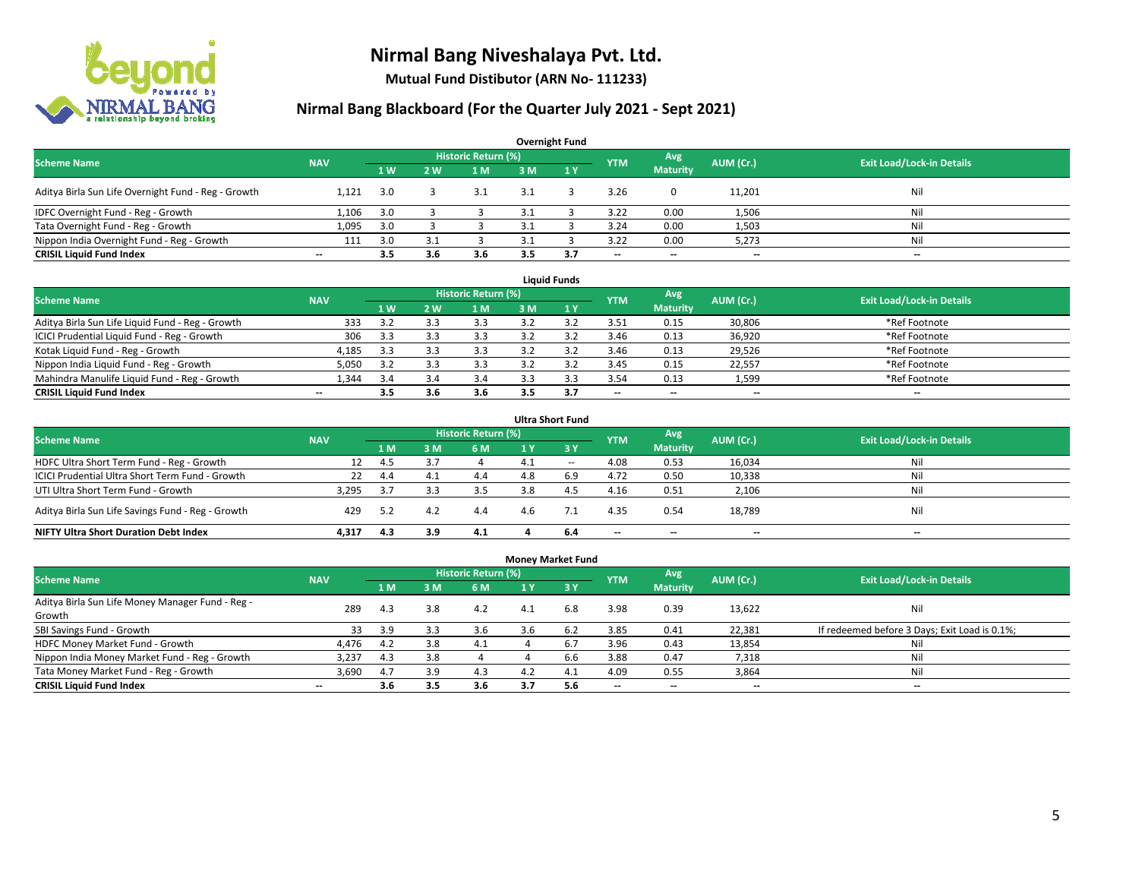

**Mutual Fund Distibutor (ARN No- 111233)**

| <b>Overnight Fund</b>                               |                          |     |     |                            |     |     |            |                 |           |                                  |  |  |  |
|-----------------------------------------------------|--------------------------|-----|-----|----------------------------|-----|-----|------------|-----------------|-----------|----------------------------------|--|--|--|
| <b>Scheme Name</b>                                  | <b>NAV</b>               |     |     | <b>Historic Return (%)</b> |     |     | <b>YTM</b> | Avg             | AUM (Cr.) | <b>Exit Load/Lock-in Details</b> |  |  |  |
|                                                     |                          | 1W  | 2 W | 1 <sub>M</sub>             | 3M  | 1Y  |            | <b>Maturity</b> |           |                                  |  |  |  |
| Aditya Birla Sun Life Overnight Fund - Reg - Growth | 1.121                    | 3.0 |     |                            | 3.1 |     | 3.26       | 0               | 11,201    | Nil                              |  |  |  |
| IDFC Overnight Fund - Reg - Growth                  | 1,106                    | 3.0 |     |                            |     |     | 3.22       | 0.00            | 1,506     | Nil                              |  |  |  |
| Tata Overnight Fund - Reg - Growth                  | 1,095                    | 3.0 |     |                            |     |     | 3.24       | 0.00            | 1,503     | Nil                              |  |  |  |
| Nippon India Overnight Fund - Reg - Growth          | 111                      | 3.0 |     |                            |     |     | 3.22       | 0.00            | 5,273     | Nil                              |  |  |  |
| <b>CRISIL Liquid Fund Index</b>                     | $\overline{\phantom{a}}$ | 3.5 | 3.6 | 3.6                        | 3.5 | 3.7 | $- -$      | $- -$           | $- -$     | $\overline{\phantom{a}}$         |  |  |  |

| <b>Liquid Funds</b>                              |            |     |     |                     |     |     |                          |                          |           |                                  |  |  |  |
|--------------------------------------------------|------------|-----|-----|---------------------|-----|-----|--------------------------|--------------------------|-----------|----------------------------------|--|--|--|
| <b>Scheme Name</b>                               | <b>NAV</b> |     |     | Historic Return (%) |     |     | <b>YTM</b>               | Avg                      | AUM (Cr.) | <b>Exit Load/Lock-in Details</b> |  |  |  |
|                                                  |            | 1W  | 2 W | 1 M                 | 3 M |     |                          | <b>Maturity</b>          |           |                                  |  |  |  |
| Aditya Birla Sun Life Liquid Fund - Reg - Growth | 333        | 3.2 |     | 3.3                 |     |     | 3.51                     | 0.15                     | 30,806    | *Ref Footnote                    |  |  |  |
| ICICI Prudential Liquid Fund - Reg - Growth      | 306        | 3.3 |     | 3.3                 |     |     | 3.46                     | 0.13                     | 36,920    | *Ref Footnote                    |  |  |  |
| Kotak Liquid Fund - Reg - Growth                 | 4,185      | 3.3 |     | 3.3                 |     |     | 3.46                     | 0.13                     | 29,526    | *Ref Footnote                    |  |  |  |
| Nippon India Liquid Fund - Reg - Growth          | 5,050      | 35  |     | 3.3                 |     |     | 3.45                     | 0.15                     | 22,557    | *Ref Footnote                    |  |  |  |
| Mahindra Manulife Liquid Fund - Reg - Growth     | .344       | 3.4 |     | 3.4                 |     |     | 3.54                     | 0.13                     | 1,599     | *Ref Footnote                    |  |  |  |
| <b>CRISIL Liquid Fund Index</b>                  | $- -$      | 3.5 | 3.6 | 3.6                 | 3.5 | 3.7 | $\overline{\phantom{a}}$ | $\overline{\phantom{a}}$ | $- -$     | $\overline{\phantom{a}}$         |  |  |  |

| <b>Ultra Short Fund</b>                           |            |      |     |                            |     |              |                          |                          |           |                                  |  |  |  |
|---------------------------------------------------|------------|------|-----|----------------------------|-----|--------------|--------------------------|--------------------------|-----------|----------------------------------|--|--|--|
| <b>Scheme Name</b>                                | <b>NAV</b> |      |     | <b>Historic Return (%)</b> |     |              | <b>YTM</b>               | Avg                      | AUM (Cr.) | <b>Exit Load/Lock-in Details</b> |  |  |  |
|                                                   |            | 1 M  | 3 M | <b>6 M</b>                 | 1 Y | $\sqrt{3}$ Y |                          | <b>Maturity</b>          |           |                                  |  |  |  |
| HDFC Ultra Short Term Fund - Reg - Growth         |            | -4.5 |     |                            |     | $\sim$       | 4.08                     | 0.53                     | 16,034    | Nil                              |  |  |  |
| ICICI Prudential Ultra Short Term Fund - Growth   | 22         | 4.4  | 4.1 | 4.4                        | 4.8 | 6.9          | 4.72                     | 0.50                     | 10,338    | Nil                              |  |  |  |
| UTI Ultra Short Term Fund - Growth                | 3.295      | -3.7 |     | 3.5                        | 3.8 | 4.5          | 4.16                     | 0.51                     | 2,106     | Nil                              |  |  |  |
| Aditya Birla Sun Life Savings Fund - Reg - Growth | 429        | 5.2  | 4.2 | 4.4                        | 4.6 |              | 4.35                     | 0.54                     | 18,789    | Nil                              |  |  |  |
| <b>NIFTY Ultra Short Duration Debt Index</b>      | 4.317      | 4.3  | 3.9 | 4.1                        |     | 6.4          | $\overline{\phantom{a}}$ | $\overline{\phantom{a}}$ | --        | $-$                              |  |  |  |

| <b>Money Market Fund</b>                         |                          |     |     |                     |     |         |                          |                          |                          |                                               |  |  |  |  |
|--------------------------------------------------|--------------------------|-----|-----|---------------------|-----|---------|--------------------------|--------------------------|--------------------------|-----------------------------------------------|--|--|--|--|
| <b>Scheme Name</b>                               | <b>NAV</b>               |     |     | Historic Return (%) |     |         | <b>YTM</b>               | Avg                      | AUM (Cr.)                | <b>Exit Load/Lock-in Details</b>              |  |  |  |  |
|                                                  |                          | 1 M | 3M  | 6 M                 | 1 Y | $Z_3$ Y |                          | <b>Maturity</b>          |                          |                                               |  |  |  |  |
| Aditya Birla Sun Life Money Manager Fund - Reg - | 289                      | 4.3 | 3.8 | 4.2                 | 4.1 | 6.8     | 3.98                     | 0.39                     | 13,622                   | Nil                                           |  |  |  |  |
| Growth                                           |                          |     |     |                     |     |         |                          |                          |                          |                                               |  |  |  |  |
| SBI Savings Fund - Growth                        | 33                       | 3.9 |     | 3.6                 | 3.6 | 6.2     | 3.85                     | 0.41                     | 22,381                   | If redeemed before 3 Days; Exit Load is 0.1%; |  |  |  |  |
| HDFC Money Market Fund - Growth                  | 4,476                    | 4.2 | 3.8 | 4.1                 |     | 6.7     | 3.96                     | 0.43                     | 13,854                   | Nil                                           |  |  |  |  |
| Nippon India Money Market Fund - Reg - Growth    | 3,237                    | 4.3 | 3.8 |                     |     | 6.6     | 3.88                     | 0.47                     | 7,318                    | Ni                                            |  |  |  |  |
| Tata Money Market Fund - Reg - Growth            | 3.690                    | 4.7 | 3.9 | 4.3                 | 4.2 | 4.1     | 4.09                     | 0.55                     | 3,864                    | Ni                                            |  |  |  |  |
| <b>CRISIL Liquid Fund Index</b>                  | $\overline{\phantom{a}}$ | 3.6 | 3.5 | 3.6                 | 3.7 | 5.6     | $\overline{\phantom{a}}$ | $\overline{\phantom{a}}$ | $\overline{\phantom{a}}$ | $- -$                                         |  |  |  |  |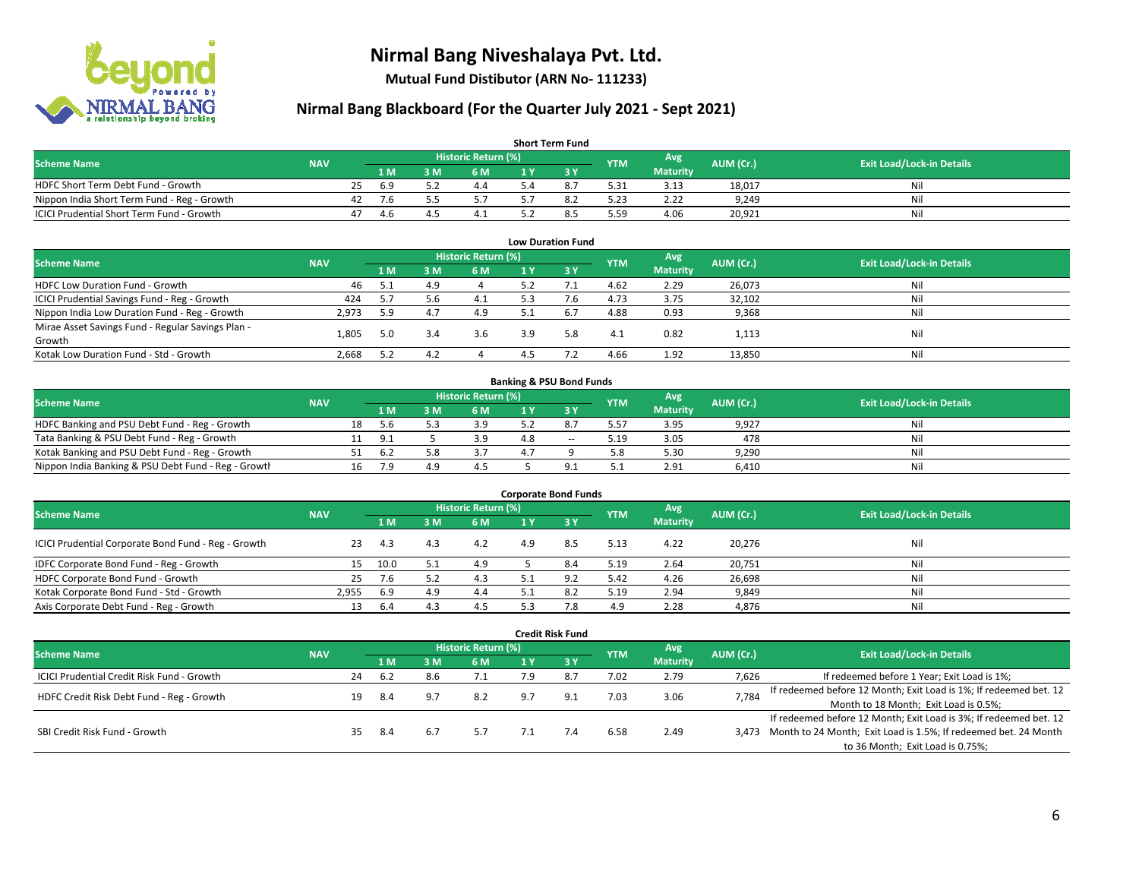

**Mutual Fund Distibutor (ARN No- 111233)**

| <b>Short Term Fund</b>                           |            |    |     |     |                     |     |  |            |                 |           |                                  |  |  |  |
|--------------------------------------------------|------------|----|-----|-----|---------------------|-----|--|------------|-----------------|-----------|----------------------------------|--|--|--|
| <b>Scheme Name</b>                               | <b>NAV</b> |    |     |     | Historic Return (%) |     |  | <b>YTM</b> | Avg             | AUM (Cr.) | <b>Exit Load/Lock-in Details</b> |  |  |  |
|                                                  |            |    | 1 M | 3 M | 6 M                 | 1 Y |  |            | <b>Maturity</b> |           |                                  |  |  |  |
| HDFC Short Term Debt Fund - Growth               |            | 25 | 6.9 |     | 4.4                 |     |  | 5.31       | 3.13            | 18,017    | Nil                              |  |  |  |
| Nippon India Short Term Fund - Reg - Growth      |            | 42 | 7.6 |     |                     |     |  | 5.23       | 2.22            | 9.249     | Nil                              |  |  |  |
| <b>ICICI Prudential Short Term Fund - Growth</b> |            | 47 | 4.b |     | 4.1                 |     |  | 5.59       | 4.06            | 20,921    | Nil                              |  |  |  |

| <b>Low Duration Fund</b>                          |            |      |     |                            |     |      |            |                 |           |                                  |  |  |  |
|---------------------------------------------------|------------|------|-----|----------------------------|-----|------|------------|-----------------|-----------|----------------------------------|--|--|--|
| <b>Scheme Name</b>                                | <b>NAV</b> |      |     | <b>Historic Return (%)</b> |     |      | <b>YTM</b> | Avg             | AUM (Cr.) | <b>Exit Load/Lock-in Details</b> |  |  |  |
|                                                   |            | 1 M  | 3 M | 6 M                        |     | -3 Y |            | <b>Maturity</b> |           |                                  |  |  |  |
| HDFC Low Duration Fund - Growth                   | 46         | -5.1 | 4.9 |                            | 5.2 |      | 4.62       | 2.29            | 26,073    | Nil                              |  |  |  |
| ICICI Prudential Savings Fund - Reg - Growth      | 424        | 5.7  | 5.6 | 4.1                        | 5.3 | 7.6  | 4.73       | 3.75            | 32,102    | Nil                              |  |  |  |
| Nippon India Low Duration Fund - Reg - Growth     | 2,973      | 5.9  | 4.7 | 4.9                        | 5.1 | -6.7 | 4.88       | 0.93            | 9,368     | Nil                              |  |  |  |
| Mirae Asset Savings Fund - Regular Savings Plan - |            |      |     | 3.6                        | 3.9 | 5.8  |            | 0.82            |           | Nil                              |  |  |  |
| Growth                                            | 1.805      | 5.0  |     |                            |     |      | 4.1        |                 | 1,113     |                                  |  |  |  |
| Kotak Low Duration Fund - Std - Growth            | 2,668      | 5.2  | 4.  |                            |     |      | 4.66       | 1.92            | 13,850    | Nil                              |  |  |  |

| <b>Banking &amp; PSU Bond Funds</b>                 |            |    |      |     |                     |  |       |            |                 |           |                                  |  |  |  |
|-----------------------------------------------------|------------|----|------|-----|---------------------|--|-------|------------|-----------------|-----------|----------------------------------|--|--|--|
| <b>Scheme Name</b>                                  | <b>NAV</b> |    |      |     | Historic Return (%) |  |       | <b>YTM</b> | Avg             | AUM (Cr.) | <b>Exit Load/Lock-in Details</b> |  |  |  |
|                                                     |            |    | 4 M. | 3 M | 6 M                 |  |       |            | <b>Maturity</b> |           |                                  |  |  |  |
| HDFC Banking and PSU Debt Fund - Reg - Growth       |            | 18 | -5.6 |     | 3.9                 |  |       | 5.57       | 3.95            | 9.927     | Nil                              |  |  |  |
| Tata Banking & PSU Debt Fund - Reg - Growth         |            |    | 9.1  |     | 3.9                 |  | $- -$ | 5.19       | 3.05            | 478       | Nil                              |  |  |  |
| Kotak Banking and PSU Debt Fund - Reg - Growth      |            |    | 6.2  |     |                     |  |       | 5.8        | 5.30            | 9.290     | Nil                              |  |  |  |
| Nippon India Banking & PSU Debt Fund - Reg - Growth |            |    | 7 Q  | 4.9 |                     |  |       |            | 2.91            | 6.410     | Nil                              |  |  |  |

| <b>Corporate Bond Funds</b>                         |            |      |     |                            |     |      |            |                 |           |                                  |  |
|-----------------------------------------------------|------------|------|-----|----------------------------|-----|------|------------|-----------------|-----------|----------------------------------|--|
| <b>Scheme Name</b>                                  | <b>NAV</b> |      |     | <b>Historic Return (%)</b> |     |      | <b>YTM</b> | Avg             | AUM (Cr.) | <b>Exit Load/Lock-in Details</b> |  |
|                                                     |            | 1 M  | з м | 6 M                        |     | -3 Y |            | <b>Maturity</b> |           |                                  |  |
| ICICI Prudential Corporate Bond Fund - Reg - Growth | 23         | 4.3  | 4.3 | 4.2                        | 4.9 | 8.5  | 5.13       | 4.22            | 20,276    | Nil                              |  |
| IDFC Corporate Bond Fund - Reg - Growth             |            | 10.0 |     | 4.9                        |     | 8.4  | 5.19       | 2.64            | 20,751    | Nil                              |  |
| HDFC Corporate Bond Fund - Growth                   | 25         | 7.6  |     | 4.3                        |     |      | 5.42       | 4.26            | 26,698    | Nil                              |  |
| Kotak Corporate Bond Fund - Std - Growth            | 2.955      | 6.9  | 4.9 | 4.4                        |     |      | 5.19       | 2.94            | 9,849     | Nil                              |  |
| Axis Corporate Debt Fund - Reg - Growth             | 13         | -6.4 |     | 4.5                        |     | 70   | 4.9        | 2.28            | 4,876     | Nil                              |  |

|                                            |            |                            |      |     |     |     | <b>Credit Risk Fund</b> |            |                 |                                       |                                                                       |
|--------------------------------------------|------------|----------------------------|------|-----|-----|-----|-------------------------|------------|-----------------|---------------------------------------|-----------------------------------------------------------------------|
| <b>Scheme Name</b>                         | <b>NAV</b> | <b>Historic Return (%)</b> |      |     |     |     |                         |            | Avg             | AUM (Cr.)                             | <b>Exit Load/Lock-in Details</b>                                      |
|                                            |            |                            | 1 M  | 3 M | 6 M | 1 Y | $-3V$                   | <b>YTM</b> | <b>Maturity</b> |                                       |                                                                       |
| ICICI Prudential Credit Risk Fund - Growth |            | 24                         | -6.2 | 8.6 | 7.1 | 7.9 | 8.7                     | 7.02       | 2.79            | 7,626                                 | If redeemed before 1 Year; Exit Load is 1%;                           |
| HDFC Credit Risk Debt Fund - Reg - Growth  | 19         |                            | -8.4 | 9.7 | 8.2 | 9.7 | 9.1                     | 7.03       | 3.06            | 7,784                                 | If redeemed before 12 Month; Exit Load is 1%; If redeemed bet. 12     |
|                                            |            |                            |      |     |     |     |                         |            |                 | Month to 18 Month; Exit Load is 0.5%; |                                                                       |
|                                            |            |                            |      |     | 5.7 |     | 7.4                     | 6.58       | 2.49            |                                       | If redeemed before 12 Month; Exit Load is 3%; If redeemed bet. 12     |
| SBI Credit Risk Fund - Growth              |            | 35                         | -8.4 | 6.1 |     |     |                         |            |                 |                                       | 3,473 Month to 24 Month; Exit Load is 1.5%; If redeemed bet. 24 Month |
|                                            |            |                            |      |     |     |     |                         |            |                 |                                       | to 36 Month; Exit Load is 0.75%;                                      |